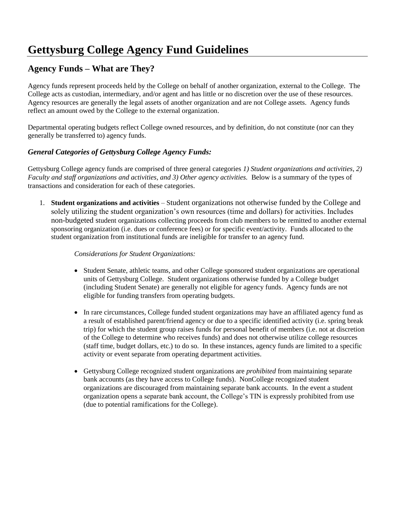# **Gettysburg College Agency Fund Guidelines**

# **Agency Funds – What are They?**

Agency funds represent proceeds held by the College on behalf of another organization, external to the College. The College acts as custodian, intermediary, and/or agent and has little or no discretion over the use of these resources. Agency resources are generally the legal assets of another organization and are not College assets. Agency funds reflect an amount owed by the College to the external organization.

Departmental operating budgets reflect College owned resources, and by definition, do not constitute (nor can they generally be transferred to) agency funds.

## *General Categories of Gettysburg College Agency Funds:*

Gettysburg College agency funds are comprised of three general categories *1) Student organizations and activities, 2) Faculty and staff organizations and activities, and 3) Other agency activities.* Below is a summary of the types of transactions and consideration for each of these categories.

1. **Student organizations and activities** – Student organizations not otherwise funded by the College and solely utilizing the student organization's own resources (time and dollars) for activities. Includes non-budgeted student organizations collecting proceeds from club members to be remitted to another external sponsoring organization (i.e. dues or conference fees) or for specific event/activity. Funds allocated to the student organization from institutional funds are ineligible for transfer to an agency fund.

### *Considerations for Student Organizations:*

- Student Senate, athletic teams, and other College sponsored student organizations are operational units of Gettysburg College. Student organizations otherwise funded by a College budget (including Student Senate) are generally not eligible for agency funds. Agency funds are not eligible for funding transfers from operating budgets.
- In rare circumstances, College funded student organizations may have an affiliated agency fund as a result of established parent/friend agency or due to a specific identified activity (i.e. spring break trip) for which the student group raises funds for personal benefit of members (i.e. not at discretion of the College to determine who receives funds) and does not otherwise utilize college resources (staff time, budget dollars, etc.) to do so. In these instances, agency funds are limited to a specific activity or event separate from operating department activities.
- Gettysburg College recognized student organizations are *prohibited* from maintaining separate bank accounts (as they have access to College funds). NonCollege recognized student organizations are discouraged from maintaining separate bank accounts. In the event a student organization opens a separate bank account, the College's TIN is expressly prohibited from use (due to potential ramifications for the College).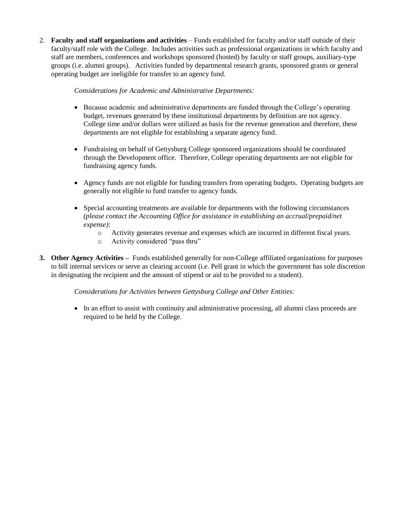2. **Faculty and staff organizations and activities** – Funds established for faculty and/or staff outside of their faculty/staff role with the College. Includes activities such as professional organizations in which faculty and staff are members, conferences and workshops sponsored (hosted) by faculty or staff groups, auxiliary-type groups (i.e. alumni groups). Activities funded by departmental research grants, sponsored grants or general operating budget are ineligible for transfer to an agency fund.

*Considerations for Academic and Administrative Departments:*

- Because academic and administrative departments are funded through the College's operating budget, revenues generated by these institutional departments by definition are not agency. College time and/or dollars were utilized as basis for the revenue generation and therefore, these departments are not eligible for establishing a separate agency fund.
- Fundraising on behalf of Gettysburg College sponsored organizations should be coordinated through the Development office. Therefore, College operating departments are not eligible for fundraising agency funds.
- Agency funds are not eligible for funding transfers from operating budgets. Operating budgets are generally not eligible to fund transfer to agency funds.
- Special accounting treatments are available for departments with the following circumstances *(please contact the Accounting Office for assistance in establishing an accrual/prepaid/net expense):*
	- o Activity generates revenue and expenses which are incurred in different fiscal years.
	- o Activity considered "pass thru"
- **3. Other Agency Activities –** Funds established generally for non-College affiliated organizations for purposes to bill internal services or serve as clearing account (i.e. Pell grant in which the government has sole discretion in designating the recipient and the amount of stipend or aid to be provided to a student).

*Considerations for Activities between Gettysburg College and Other Entities:*

• In an effort to assist with continuity and administrative processing, all alumni class proceeds are required to be held by the College.